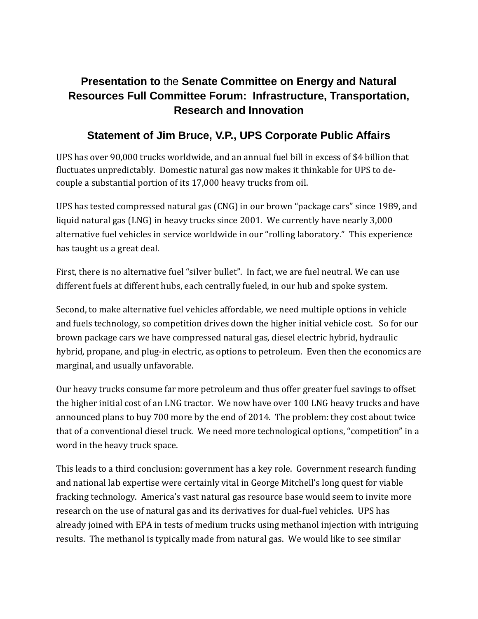## **Presentation to** the **Senate Committee on Energy and Natural Resources Full Committee Forum: Infrastructure, Transportation, Research and Innovation**

## **Statement of Jim Bruce, V.P., UPS Corporate Public Affairs**

UPS has over 90,000 trucks worldwide, and an annual fuel bill in excess of \$4 billion that fluctuates unpredictably. Domestic natural gas now makes it thinkable for UPS to decouple a substantial portion of its 17,000 heavy trucks from oil.

UPS has tested compressed natural gas (CNG) in our brown "package cars" since 1989, and liquid natural gas (LNG) in heavy trucks since 2001. We currently have nearly 3,000 alternative fuel vehicles in service worldwide in our "rolling laboratory." This experience has taught us a great deal.

First, there is no alternative fuel "silver bullet". In fact, we are fuel neutral. We can use different fuels at different hubs, each centrally fueled, in our hub and spoke system.

Second, to make alternative fuel vehicles affordable, we need multiple options in vehicle and fuels technology, so competition drives down the higher initial vehicle cost. So for our brown package cars we have compressed natural gas, diesel electric hybrid, hydraulic hybrid, propane, and plug-in electric, as options to petroleum. Even then the economics are marginal, and usually unfavorable.

Our heavy trucks consume far more petroleum and thus offer greater fuel savings to offset the higher initial cost of an LNG tractor. We now have over 100 LNG heavy trucks and have announced plans to buy 700 more by the end of 2014. The problem: they cost about twice that of a conventional diesel truck. We need more technological options, "competition" in a word in the heavy truck space.

This leads to a third conclusion: government has a key role. Government research funding and national lab expertise were certainly vital in George Mitchell's long quest for viable fracking technology. America's vast natural gas resource base would seem to invite more research on the use of natural gas and its derivatives for dual-fuel vehicles. UPS has already joined with EPA in tests of medium trucks using methanol injection with intriguing results. The methanol is typically made from natural gas. We would like to see similar